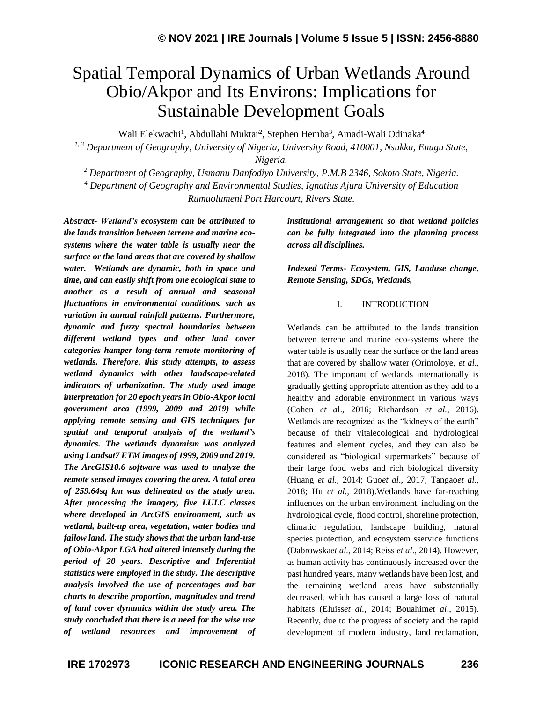# Spatial Temporal Dynamics of Urban Wetlands Around Obio/Akpor and Its Environs: Implications for Sustainable Development Goals

Wali Elekwachi<sup>1</sup>, Abdullahi Muktar<sup>2</sup>, Stephen Hemba<sup>3</sup>, Amadi-Wali Odinaka<sup>4</sup>

*1, 3 Department of Geography, University of Nigeria, University Road, 410001, Nsukka, Enugu State,* 

*Nigeria.*

*<sup>2</sup> Department of Geography, Usmanu Danfodiyo University, P.M.B 2346, Sokoto State, Nigeria.*

*<sup>4</sup> Department of Geography and Environmental Studies, Ignatius Ajuru University of Education*

*Rumuolumeni Port Harcourt, Rivers State.*

*Abstract- Wetland's ecosystem can be attributed to the lands transition between terrene and marine ecosystems where the water table is usually near the surface or the land areas that are covered by shallow water. Wetlands are dynamic, both in space and time, and can easily shift from one ecological state to another as a result of annual and seasonal fluctuations in environmental conditions, such as variation in annual rainfall patterns. Furthermore, dynamic and fuzzy spectral boundaries between different wetland types and other land cover categories hamper long-term remote monitoring of wetlands. Therefore, this study attempts, to assess wetland dynamics with other landscape-related indicators of urbanization. The study used image interpretation for 20 epoch years in Obio-Akpor local government area (1999, 2009 and 2019) while applying remote sensing and GIS techniques for spatial and temporal analysis of the wetland's dynamics. The wetlands dynamism was analyzed using Landsat7 ETM images of 1999, 2009 and 2019. The ArcGIS10.6 software was used to analyze the remote sensed images covering the area. A total area of 259.64sq km was delineated as the study area. After processing the imagery, five LULC classes where developed in ArcGIS environment, such as wetland, built-up area, vegetation, water bodies and fallow land. The study shows that the urban land-use of Obio-Akpor LGA had altered intensely during the period of 20 years. Descriptive and Inferential statistics were employed in the study. The descriptive analysis involved the use of percentages and bar charts to describe proportion, magnitudes and trend of land cover dynamics within the study area. The study concluded that there is a need for the wise use of wetland resources and improvement of* 

*institutional arrangement so that wetland policies can be fully integrated into the planning process across all disciplines.*

*Indexed Terms- Ecosystem, GIS, Landuse change, Remote Sensing, SDGs, Wetlands,*

### I. INTRODUCTION

Wetlands can be attributed to the lands transition between terrene and marine eco-systems where the water table is usually near the surface or the land areas that are covered by shallow water (Orimoloye, *et al*., 2018). The important of wetlands internationally is gradually getting appropriate attention as they add to a healthy and adorable environment in various ways (Cohen *et a*l., 2016; Richardson *et al.,* 2016). Wetlands are recognized as the "kidneys of the earth" because of their vitalecological and hydrological features and element cycles, and they can also be considered as "biological supermarkets" because of their large food webs and rich biological diversity (Huang *et al.,* 2014; Guo*et al*., 2017; Tangao*et al*., 2018; Hu *et al.,* 2018).Wetlands have far-reaching influences on the urban environment, including on the hydrological cycle, flood control, shoreline protection, climatic regulation, landscape building, natural species protection, and ecosystem sservice functions (Dabrowska*et al.,* 2014; Reiss *et al*., 2014). However, as human activity has continuously increased over the past hundred years, many wetlands have been lost, and the remaining wetland areas have substantially decreased, which has caused a large loss of natural habitats (Eluiss*et al.,* 2014; Bouahim*et al*., 2015). Recently, due to the progress of society and the rapid development of modern industry, land reclamation,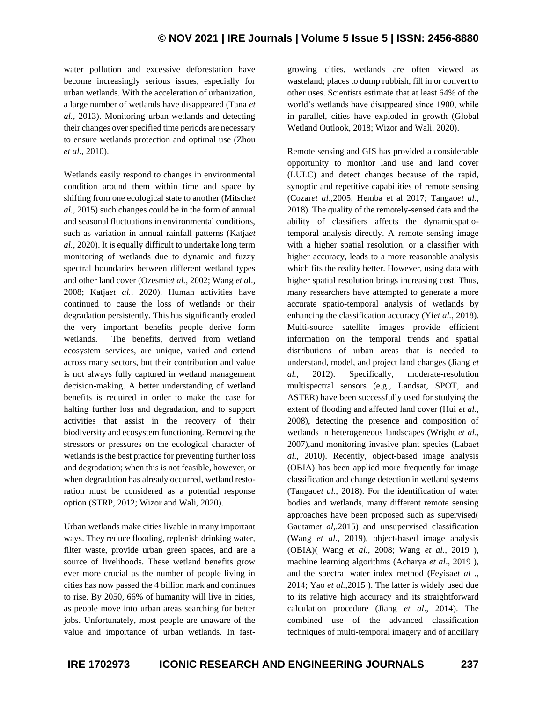water pollution and excessive deforestation have become increasingly serious issues, especially for urban wetlands. With the acceleration of urbanization, a large number of wetlands have disappeared (Tana *et al.,* 2013). Monitoring urban wetlands and detecting their changes over specified time periods are necessary to ensure wetlands protection and optimal use (Zhou *et al.,* 2010).

Wetlands easily respond to changes in environmental condition around them within time and space by shifting from one ecological state to another (Mitsch*et al.,* 2015) such changes could be in the form of annual and seasonal fluctuations in environmental conditions, such as variation in annual rainfall patterns (Katja*et al.,* 2020). It is equally difficult to undertake long term monitoring of wetlands due to dynamic and fuzzy spectral boundaries between different wetland types and other land cover (Ozesmi*et al.,* 2002; Wang *et a*l., 2008; Katja*et al.,* 2020). Human activities have continued to cause the loss of wetlands or their degradation persistently. This has significantly eroded the very important benefits people derive form wetlands. The benefits, derived from wetland ecosystem services, are unique, varied and extend across many sectors, but their contribution and value is not always fully captured in wetland management decision-making. A better understanding of wetland benefits is required in order to make the case for halting further loss and degradation, and to support activities that assist in the recovery of their biodiversity and ecosystem functioning. Removing the stressors or pressures on the ecological character of wetlands is the best practice for preventing further loss and degradation; when this is not feasible, however, or when degradation has already occurred, wetland restoration must be considered as a potential response option (STRP, 2012; Wizor and Wali, 2020).

Urban wetlands make cities livable in many important ways. They reduce flooding, replenish drinking water, filter waste, provide urban green spaces, and are a source of livelihoods. These wetland benefits grow ever more crucial as the number of people living in cities has now passed the 4 billion mark and continues to rise. By 2050, 66% of humanity will live in cities, as people move into urban areas searching for better jobs. Unfortunately, most people are unaware of the value and importance of urban wetlands. In fastgrowing cities, wetlands are often viewed as wasteland; places to dump rubbish, fill in or convert to other uses. Scientists estimate that at least 64% of the world's wetlands have disappeared since 1900, while in parallel, cities have exploded in growth (Global Wetland Outlook, 2018; Wizor and Wali, 2020).

Remote sensing and GIS has provided a considerable opportunity to monitor land use and land cover (LULC) and detect changes because of the rapid, synoptic and repetitive capabilities of remote sensing (Cozar*et al*.,2005; Hemba et al 2017; Tangao*et al*., 2018). The quality of the remotely-sensed data and the ability of classifiers affects the dynamicspatiotemporal analysis directly. A remote sensing image with a higher spatial resolution, or a classifier with higher accuracy, leads to a more reasonable analysis which fits the reality better. However, using data with higher spatial resolution brings increasing cost. Thus, many researchers have attempted to generate a more accurate spatio-temporal analysis of wetlands by enhancing the classification accuracy (Yi*et al.,* 2018). Multi-source satellite images provide efficient information on the temporal trends and spatial distributions of urban areas that is needed to understand, model, and project land changes (Jiang *et al.,* 2012). Specifically, moderate-resolution multispectral sensors (e.g., Landsat, SPOT, and ASTER) have been successfully used for studying the extent of flooding and affected land cover (Hui *et al.,* 2008), detecting the presence and composition of wetlands in heterogeneous landscapes (Wright *et al*., 2007),and monitoring invasive plant species (Laba*et al*., 2010). Recently, object-based image analysis (OBIA) has been applied more frequently for image classification and change detection in wetland systems (Tangao*et al*., 2018). For the identification of water bodies and wetlands, many different remote sensing approaches have been proposed such as supervised( Gautam*et al*,.2015) and unsupervised classification (Wang *et al*., 2019), object-based image analysis (OBIA)( Wang *et al.,* 2008; Wang *et al*., 2019 ), machine learning algorithms (Acharya *et al*., 2019 ), and the spectral water index method (Feyisa*et al .,* 2014; Yao *et al.,*2015 ). The latter is widely used due to its relative high accuracy and its straightforward calculation procedure (Jiang *et al*., 2014). The combined use of the advanced classification techniques of multi-temporal imagery and of ancillary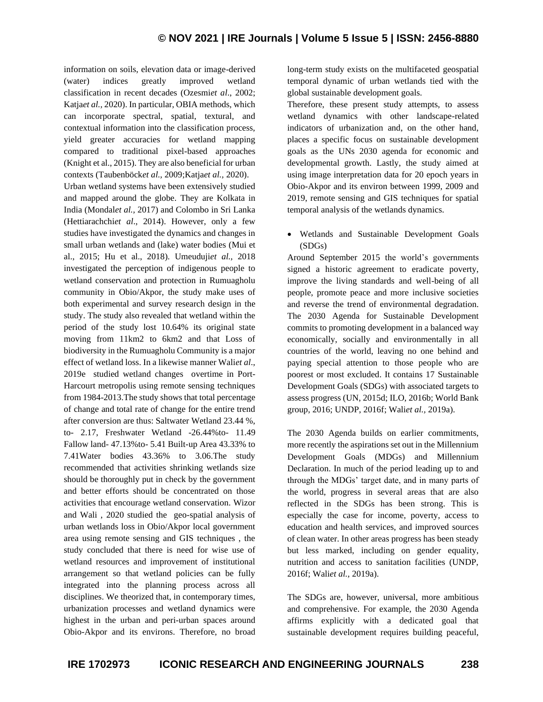information on soils, elevation data or image-derived (water) indices greatly improved wetland classification in recent decades (Ozesmi*et al*., 2002; Katja*et al.,* 2020). In particular, OBIA methods, which can incorporate spectral, spatial, textural, and contextual information into the classification process, yield greater accuracies for wetland mapping compared to traditional pixel-based approaches (Knight et al., 2015). They are also beneficial for urban contexts (Taubenböck*et al.,* 2009;Katja*et al.,* 2020).

Urban wetland systems have been extensively studied and mapped around the globe. They are Kolkata in India (Mondal*et al.,* 2017) and Colombo in Sri Lanka (Hettiarachchi*et al*., 2014). However, only a few studies have investigated the dynamics and changes in small urban wetlands and (lake) water bodies (Mui et al., 2015; Hu et al., 2018). Umeuduji*et al.,* 2018 investigated the perception of indigenous people to wetland conservation and protection in Rumuagholu community in Obio/Akpor, the study make uses of both experimental and survey research design in the study. The study also revealed that wetland within the period of the study lost 10.64% its original state moving from 11km2 to 6km2 and that Loss of biodiversity in the Rumuagholu Community is a major effect of wetland loss. In a likewise manner Wali*et al*., 2019e studied wetland changes overtime in Port-Harcourt metropolis using remote sensing techniques from 1984-2013.The study shows that total percentage of change and total rate of change for the entire trend after conversion are thus: Saltwater Wetland 23.44 %, to- 2.17, Freshwater Wetland -26.44%to- 11.49 Fallow land- 47.13%to- 5.41 Built-up Area 43.33% to 7.41Water bodies 43.36% to 3.06.The study recommended that activities shrinking wetlands size should be thoroughly put in check by the government and better efforts should be concentrated on those activities that encourage wetland conservation. Wizor and Wali , 2020 studied the geo-spatial analysis of urban wetlands loss in Obio/Akpor local government area using remote sensing and GIS techniques , the study concluded that there is need for wise use of wetland resources and improvement of institutional arrangement so that wetland policies can be fully integrated into the planning process across all disciplines. We theorized that, in contemporary times, urbanization processes and wetland dynamics were highest in the urban and peri-urban spaces around Obio-Akpor and its environs. Therefore, no broad long-term study exists on the multifaceted geospatial temporal dynamic of urban wetlands tied with the global sustainable development goals.

Therefore, these present study attempts, to assess wetland dynamics with other landscape-related indicators of urbanization and, on the other hand, places a specific focus on sustainable development goals as the UNs 2030 agenda for economic and developmental growth. Lastly, the study aimed at using image interpretation data for 20 epoch years in Obio-Akpor and its environ between 1999, 2009 and 2019, remote sensing and GIS techniques for spatial temporal analysis of the wetlands dynamics.

• Wetlands and Sustainable Development Goals (SDGs)

Around September 2015 the world's governments signed a historic agreement to eradicate poverty, improve the living standards and well-being of all people, promote peace and more inclusive societies and reverse the trend of environmental degradation. The 2030 Agenda for Sustainable Development commits to promoting development in a balanced way economically, socially and environmentally in all countries of the world, leaving no one behind and paying special attention to those people who are poorest or most excluded. It contains 17 Sustainable Development Goals (SDGs) with associated targets to assess progress (UN, 2015d; ILO, 2016b; World Bank group, 2016; UNDP, 2016f; Wali*et al.,* 2019a).

The 2030 Agenda builds on earlier commitments, more recently the aspirations set out in the Millennium Development Goals (MDGs) and Millennium Declaration. In much of the period leading up to and through the MDGs' target date, and in many parts of the world, progress in several areas that are also reflected in the SDGs has been strong. This is especially the case for income, poverty, access to education and health services, and improved sources of clean water. In other areas progress has been steady but less marked, including on gender equality, nutrition and access to sanitation facilities (UNDP, 2016f; Wali*et al.,* 2019a).

The SDGs are, however, universal, more ambitious and comprehensive. For example, the 2030 Agenda affirms explicitly with a dedicated goal that sustainable development requires building peaceful,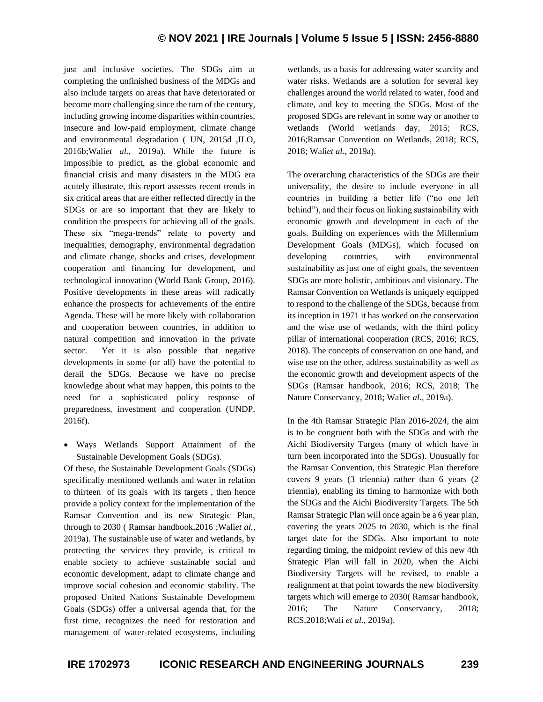just and inclusive societies. The SDGs aim at completing the unfinished business of the MDGs and also include targets on areas that have deteriorated or become more challenging since the turn of the century, including growing income disparities within countries, insecure and low-paid employment, climate change and environmental degradation ( UN, 2015d ,ILO, 2016b;Wali*et al.,* 2019a). While the future is impossible to predict, as the global economic and financial crisis and many disasters in the MDG era acutely illustrate, this report assesses recent trends in six critical areas that are either reflected directly in the SDGs or are so important that they are likely to condition the prospects for achieving all of the goals. These six "mega-trends" relate to poverty and inequalities, demography, environmental degradation and climate change, shocks and crises, development cooperation and financing for development, and technological innovation (World Bank Group, 2016). Positive developments in these areas will radically enhance the prospects for achievements of the entire Agenda. These will be more likely with collaboration and cooperation between countries, in addition to natural competition and innovation in the private sector. Yet it is also possible that negative developments in some (or all) have the potential to derail the SDGs. Because we have no precise knowledge about what may happen, this points to the need for a sophisticated policy response of preparedness, investment and cooperation (UNDP, 2016f).

• Ways Wetlands Support Attainment of the Sustainable Development Goals (SDGs).

Of these, the Sustainable Development Goals (SDGs) specifically mentioned wetlands and water in relation to thirteen of its goals with its targets , then hence provide a policy context for the implementation of the Ramsar Convention and its new Strategic Plan, through to 2030 ( Ramsar handbook,2016 ;Wali*et al.,* 2019a). The sustainable use of water and wetlands, by protecting the services they provide, is critical to enable society to achieve sustainable social and economic development, adapt to climate change and improve social cohesion and economic stability. The proposed United Nations Sustainable Development Goals (SDGs) offer a universal agenda that, for the first time, recognizes the need for restoration and management of water-related ecosystems, including wetlands, as a basis for addressing water scarcity and water risks. Wetlands are a solution for several key challenges around the world related to water, food and climate, and key to meeting the SDGs. Most of the proposed SDGs are relevant in some way or another to wetlands (World wetlands day, 2015; RCS, 2016;Ramsar Convention on Wetlands, 2018; RCS, 2018; Wali*et al.,* 2019a).

The overarching characteristics of the SDGs are their universality, the desire to include everyone in all countries in building a better life ("no one left behind"), and their focus on linking sustainability with economic growth and development in each of the goals. Building on experiences with the Millennium Development Goals (MDGs), which focused on developing countries, with environmental sustainability as just one of eight goals, the seventeen SDGs are more holistic, ambitious and visionary. The Ramsar Convention on Wetlands is uniquely equipped to respond to the challenge of the SDGs, because from its inception in 1971 it has worked on the conservation and the wise use of wetlands, with the third policy pillar of international cooperation (RCS, 2016; RCS, 2018). The concepts of conservation on one hand, and wise use on the other, address sustainability as well as the economic growth and development aspects of the SDGs (Ramsar handbook, 2016; RCS, 2018; The Nature Conservancy, 2018; Waliet *al.,* 2019a).

In the 4th Ramsar Strategic Plan 2016-2024, the aim is to be congruent both with the SDGs and with the Aichi Biodiversity Targets (many of which have in turn been incorporated into the SDGs). Unusually for the Ramsar Convention, this Strategic Plan therefore covers 9 years (3 triennia) rather than 6 years (2 triennia), enabling its timing to harmonize with both the SDGs and the Aichi Biodiversity Targets. The 5th Ramsar Strategic Plan will once again be a 6 year plan, covering the years 2025 to 2030, which is the final target date for the SDGs. Also important to note regarding timing, the midpoint review of this new 4th Strategic Plan will fall in 2020, when the Aichi Biodiversity Targets will be revised, to enable a realignment at that point towards the new biodiversity targets which will emerge to 2030( Ramsar handbook, 2016; The Nature Conservancy, 2018; RCS,2018;Wali *et al.,* 2019a).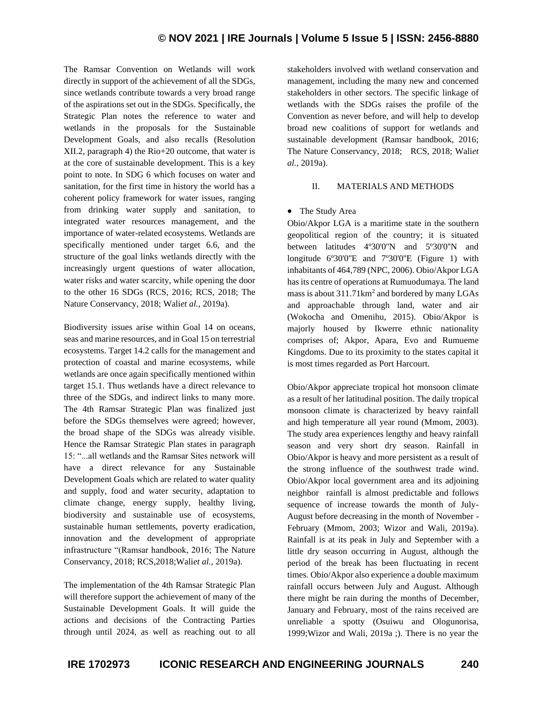The Ramsar Convention on Wetlands will work directly in support of the achievement of all the SDGs, since wetlands contribute towards a very broad range of the aspirations set out in the SDGs. Specifically, the Strategic Plan notes the reference to water and wetlands in the proposals for the Sustainable Development Goals, and also recalls (Resolution XII.2, paragraph 4) the Rio+20 outcome, that water is at the core of sustainable development. This is a key point to note. In SDG 6 which focuses on water and sanitation, for the first time in history the world has a coherent policy framework for water issues, ranging from drinking water supply and sanitation, to integrated water resources management, and the importance of water-related ecosystems. Wetlands are specifically mentioned under target 6.6, and the structure of the goal links wetlands directly with the increasingly urgent questions of water allocation, water risks and water scarcity, while opening the door to the other 16 SDGs (RCS, 2016; RCS, 2018; The Nature Conservancy, 2018; Wali*et al.,* 2019a).

Biodiversity issues arise within Goal 14 on oceans, seas and marine resources, and in Goal 15 on terrestrial ecosystems. Target 14.2 calls for the management and protection of coastal and marine ecosystems, while wetlands are once again specifically mentioned within target 15.1. Thus wetlands have a direct relevance to three of the SDGs, and indirect links to many more. The 4th Ramsar Strategic Plan was finalized just before the SDGs themselves were agreed; however, the broad shape of the SDGs was already visible. Hence the Ramsar Strategic Plan states in paragraph 15: "...all wetlands and the Ramsar Sites network will have a direct relevance for any Sustainable Development Goals which are related to water quality and supply, food and water security, adaptation to climate change, energy supply, healthy living, biodiversity and sustainable use of ecosystems, sustainable human settlements, poverty eradication, innovation and the development of appropriate infrastructure "(Ramsar handbook, 2016; The Nature Conservancy, 2018; RCS,2018;Wali*et al.,* 2019a).

The implementation of the 4th Ramsar Strategic Plan will therefore support the achievement of many of the Sustainable Development Goals. It will guide the actions and decisions of the Contracting Parties through until 2024, as well as reaching out to all

stakeholders involved with wetland conservation and management, including the many new and concerned stakeholders in other sectors. The specific linkage of wetlands with the SDGs raises the profile of the Convention as never before, and will help to develop broad new coalitions of support for wetlands and sustainable development (Ramsar handbook, 2016; The Nature Conservancy, 2018; RCS, 2018; Wali*et al.,* 2019a).

## II. MATERIALS AND METHODS

## • The Study Area

Obio/Akpor LGA is a maritime state in the southern geopolitical region of the country; it is situated between latitudes 4º30'0''N and 5º30'0''N and longitude 6°30'0"E and 7°30'0"E (Figure 1) with inhabitants of 464,789 (NPC, 2006). Obio/Akpor LGA has its centre of operations at Rumuodumaya. The land mass is about  $311.71 \text{km}^2$  and bordered by many LGAs and approachable through land, water and air (Wokocha and Omenihu, 2015). Obio/Akpor is majorly housed by Ikwerre ethnic nationality comprises of; Akpor, Apara, Evo and Rumueme Kingdoms. Due to its proximity to the states capital it is most times regarded as Port Harcourt.

Obio/Akpor appreciate tropical hot monsoon climate as a result of her latitudinal position. The daily tropical monsoon climate is characterized by heavy rainfall and high temperature all year round (Mmom, 2003). The study area experiences lengthy and heavy rainfall season and very short dry season. Rainfall in Obio/Akpor is heavy and more persistent as a result of the strong influence of the southwest trade wind. Obio/Akpor local government area and its adjoining neighbor rainfall is almost predictable and follows sequence of increase towards the month of July-August before decreasing in the month of November - February (Mmom, 2003; Wizor and Wali, 2019a). Rainfall is at its peak in July and September with a little dry season occurring in August, although the period of the break has been fluctuating in recent times. Obio/Akpor also experience a double maximum rainfall occurs between July and August. Although there might be rain during the months of December, January and February, most of the rains received are unreliable a spotty (Osuiwu and Ologunorisa, 1999;Wizor and Wali, 2019a ;). There is no year the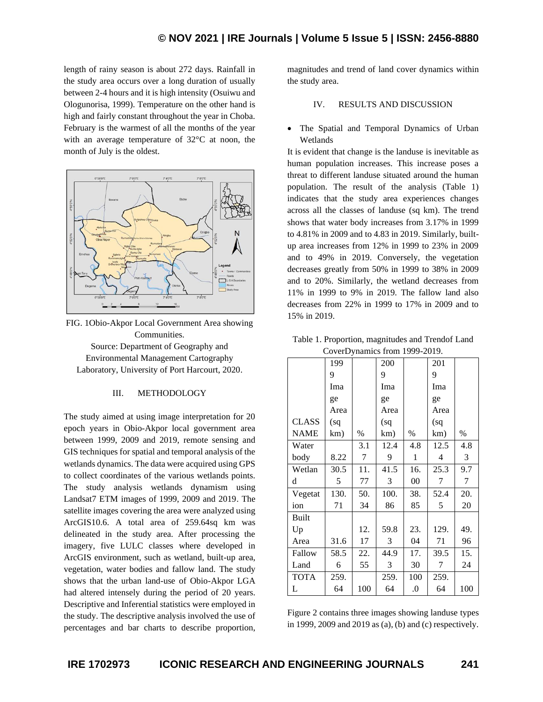length of rainy season is about 272 days. Rainfall in the study area occurs over a long duration of usually between 2-4 hours and it is high intensity (Osuiwu and Ologunorisa, 1999). Temperature on the other hand is high and fairly constant throughout the year in Choba. February is the warmest of all the months of the year with an average temperature of 32°C at noon, the month of July is the oldest.



FIG. 1Obio-Akpor Local Government Area showing Communities. Source: Department of Geography and Environmental Management Cartography Laboratory, University of Port Harcourt, 2020.

### III. METHODOLOGY

The study aimed at using image interpretation for 20 epoch years in Obio-Akpor local government area between 1999, 2009 and 2019, remote sensing and GIS techniques for spatial and temporal analysis of the wetlands dynamics. The data were acquired using GPS to collect coordinates of the various wetlands points. The study analysis wetlands dynamism using Landsat7 ETM images of 1999, 2009 and 2019. The satellite images covering the area were analyzed using ArcGIS10.6. A total area of 259.64sq km was delineated in the study area. After processing the imagery, five LULC classes where developed in ArcGIS environment, such as wetland, built-up area, vegetation, water bodies and fallow land. The study shows that the urban land-use of Obio-Akpor LGA had altered intensely during the period of 20 years. Descriptive and Inferential statistics were employed in the study. The descriptive analysis involved the use of percentages and bar charts to describe proportion, magnitudes and trend of land cover dynamics within the study area.

## IV. RESULTS AND DISCUSSION

• The Spatial and Temporal Dynamics of Urban Wetlands

It is evident that change is the landuse is inevitable as human population increases. This increase poses a threat to different landuse situated around the human population. The result of the analysis (Table 1) indicates that the study area experiences changes across all the classes of landuse (sq km). The trend shows that water body increases from 3.17% in 1999 to 4.81% in 2009 and to 4.83 in 2019. Similarly, builtup area increases from 12% in 1999 to 23% in 2009 and to 49% in 2019. Conversely, the vegetation decreases greatly from 50% in 1999 to 38% in 2009 and to 20%. Similarly, the wetland decreases from 11% in 1999 to 9% in 2019. The fallow land also decreases from 22% in 1999 to 17% in 2009 and to 15% in 2019.

|              | 199  |      | 200  |              | 201  |      |
|--------------|------|------|------|--------------|------|------|
|              | 9    |      | 9    |              | 9    |      |
|              | Ima  |      | Ima  |              | Ima  |      |
|              | ge   |      | ge   |              | ge   |      |
|              | Area |      | Area |              | Area |      |
| <b>CLASS</b> | (sq  |      | (sq  |              | (sq  |      |
| <b>NAME</b>  | km)  | $\%$ | km)  | $\%$         | km)  | $\%$ |
| Water        |      | 3.1  | 12.4 | 4.8          | 12.5 | 4.8  |
| body         | 8.22 | 7    | 9    | $\mathbf{1}$ | 4    | 3    |
| Wetlan       | 30.5 | 11.  | 41.5 | 16.          | 25.3 | 9.7  |
| d            | 5    | 77   | 3    | $00\,$       | 7    | 7    |
| Vegetat      | 130. | 50.  | 100. | 38.          | 52.4 | 20.  |
| ion          | 71   | 34   | 86   | 85           | 5    | 20   |
| <b>Built</b> |      |      |      |              |      |      |
| Up           |      | 12.  | 59.8 | 23.          | 129. | 49.  |
| Area         | 31.6 | 17   | 3    | 04           | 71   | 96   |
| Fallow       | 58.5 | 22.  | 44.9 | 17.          | 39.5 | 15.  |
| Land         | 6    | 55   | 3    | 30           | 7    | 24   |
| <b>TOTA</b>  | 259. |      | 259. | 100          | 259. |      |
| L            | 64   | 100  | 64   | 0.           | 64   | 100  |

| Table 1. Proportion, magnitudes and Trendof Land |
|--------------------------------------------------|
| CoverDynamics from 1999-2019.                    |

Figure 2 contains three images showing landuse types in 1999, 2009 and 2019 as (a), (b) and (c) respectively.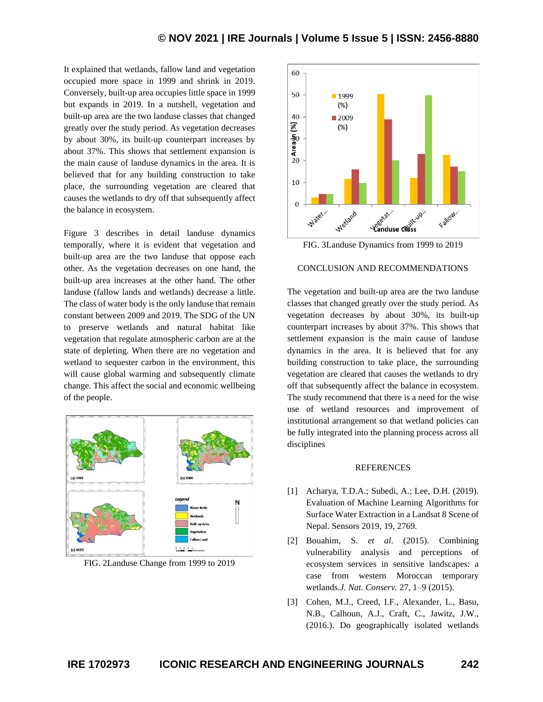It explained that wetlands, fallow land and vegetation occupied more space in 1999 and shrink in 2019. Conversely, built-up area occupies little space in 1999 but expands in 2019. In a nutshell, vegetation and built-up area are the two landuse classes that changed greatly over the study period. As vegetation decreases by about 30%, its built-up counterpart increases by about 37%. This shows that settlement expansion is the main cause of landuse dynamics in the area. It is believed that for any building construction to take place, the surrounding vegetation are cleared that causes the wetlands to dry off that subsequently affect the balance in ecosystem.

Figure 3 describes in detail landuse dynamics temporally, where it is evident that vegetation and built-up area are the two landuse that oppose each other. As the vegetation decreases on one hand, the built-up area increases at the other hand. The other landuse (fallow lands and wetlands) decrease a little. The class of water body is the only landuse that remain constant between 2009 and 2019. The SDG of the UN to preserve wetlands and natural habitat like vegetation that regulate atmospheric carbon are at the state of depleting. When there are no vegetation and wetland to sequester carbon in the environment, this will cause global warming and subsequently climate change. This affect the social and economic wellbeing of the people.



FIG. 2Landuse Change from 1999 to 2019



FIG. 3Landuse Dynamics from 1999 to 2019

## CONCLUSION AND RECOMMENDATIONS

The vegetation and built-up area are the two landuse classes that changed greatly over the study period. As vegetation decreases by about 30%, its built-up counterpart increases by about 37%. This shows that settlement expansion is the main cause of landuse dynamics in the area. It is believed that for any building construction to take place, the surrounding vegetation are cleared that causes the wetlands to dry off that subsequently affect the balance in ecosystem. The study recommend that there is a need for the wise use of wetland resources and improvement of institutional arrangement so that wetland policies can be fully integrated into the planning process across all disciplines

#### REFERENCES

- [1] Acharya, T.D.A.; Subedi, A.; Lee, D.H. (2019). Evaluation of Machine Learning Algorithms for Surface Water Extraction in a Landsat 8 Scene of Nepal. Sensors 2019, 19, 2769.
- [2] Bouahim, S. *et al*. (2015). Combining vulnerability analysis and perceptions of ecosystem services in sensitive landscapes: a case from western Moroccan temporary wetlands.*J. Nat. Conserv.* 27, 1–9 (2015).
- [3] Cohen, M.J., Creed, I.F., Alexander, L., Basu, N.B., Calhoun, A.J., Craft, C., Jawitz, J.W., (2016.). Do geographically isolated wetlands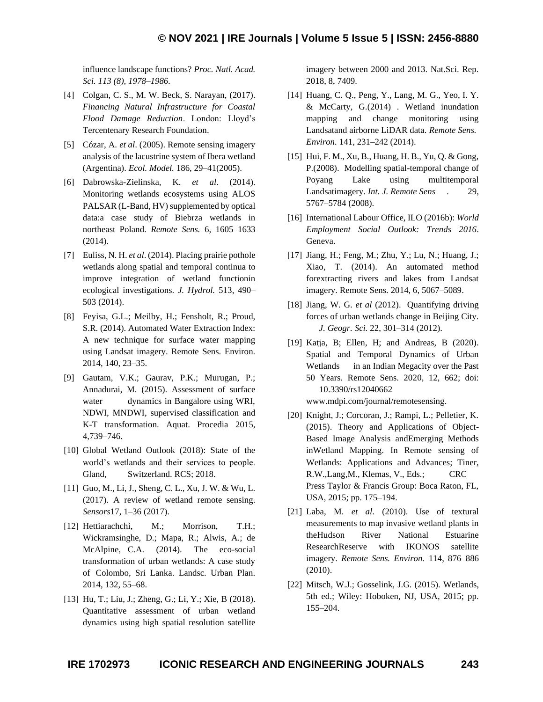influence landscape functions? *Proc. Natl. Acad. Sci. 113 (8), 1978–1986.*

- [4] Colgan, C. S., M. W. Beck, S. Narayan, (2017). *Financing Natural Infrastructure for Coastal Flood Damage Reduction*. London: Lloyd's Tercentenary Research Foundation.
- [5] Cózar, A. *et al*. (2005). Remote sensing imagery analysis of the lacustrine system of Ibera wetland (Argentina). *Ecol. Model.* 186, 29–41(2005).
- [6] Dabrowska-Zielinska, K. *et al*. (2014). Monitoring wetlands ecosystems using ALOS PALSAR (L-Band, HV) supplemented by optical data:a case study of Biebrza wetlands in northeast Poland. *Remote Sens.* 6, 1605–1633 (2014).
- [7] Euliss, N. H. *et al*. (2014). Placing prairie pothole wetlands along spatial and temporal continua to improve integration of wetland functionin ecological investigations. *J. Hydrol.* 513, 490– 503 (2014).
- [8] Feyisa, G.L.; Meilby, H.; Fensholt, R.; Proud, S.R. (2014). Automated Water Extraction Index: A new technique for surface water mapping using Landsat imagery. Remote Sens. Environ. 2014, 140, 23–35.
- [9] Gautam, V.K.; Gaurav, P.K.; Murugan, P.; Annadurai, M. (2015). Assessment of surface water dynamics in Bangalore using WRI, NDWI, MNDWI, supervised classification and K-T transformation. Aquat. Procedia 2015, 4,739–746.
- [10] Global Wetland Outlook (2018): State of the world's wetlands and their services to people. Gland, Switzerland. RCS; 2018.
- [11] Guo, M., Li, J., Sheng, C. L., Xu, J. W. & Wu, L. (2017). A review of wetland remote sensing. *Sensors*17, 1–36 (2017).
- [12] Hettiarachchi, M.; Morrison, T.H.; Wickramsinghe, D.; Mapa, R.; Alwis, A.; de McAlpine, C.A. (2014). The eco-social transformation of urban wetlands: A case study of Colombo, Sri Lanka. Landsc. Urban Plan. 2014, 132, 55–68.
- [13] Hu, T.; Liu, J.; Zheng, G.; Li, Y.; Xie, B (2018). Quantitative assessment of urban wetland dynamics using high spatial resolution satellite

imagery between 2000 and 2013. Nat.Sci. Rep. 2018, 8, 7409.

- [14] Huang, C. Q., Peng, Y., Lang, M. G., Yeo, I. Y. & McCarty, G.(2014) . Wetland inundation mapping and change monitoring using Landsatand airborne LiDAR data. *Remote Sens. Environ.* 141, 231–242 (2014).
- [15] Hui, F. M., Xu, B., Huang, H. B., Yu, Q. & Gong, P.(2008). Modelling spatial-temporal change of Poyang Lake using multitemporal Landsatimagery. *Int. J. Remote Sens .* 29, 5767–5784 (2008).
- [16] International Labour Office, ILO (2016b): *World Employment Social Outlook: Trends 2016*. Geneva.
- [17] Jiang, H.; Feng, M.; Zhu, Y.; Lu, N.; Huang, J.; Xiao, T. (2014). An automated method forextracting rivers and lakes from Landsat imagery. Remote Sens. 2014, 6, 5067–5089.
- [18] Jiang, W. G. *et al* (2012). Quantifying driving forces of urban wetlands change in Beijing City. *J. Geogr. Sci.* 22, 301–314 (2012).
- [19] Katja, B; Ellen, H; and Andreas, B (2020). Spatial and Temporal Dynamics of Urban Wetlands in an Indian Megacity over the Past 50 Years. Remote Sens. 2020, 12, 662; doi: 10.3390/rs12040662
	- www.mdpi.com/journal/remotesensing.
- [20] Knight, J.; Corcoran, J.; Rampi, L.; Pelletier, K. (2015). Theory and Applications of Object-Based Image Analysis andEmerging Methods inWetland Mapping. In Remote sensing of Wetlands: Applications and Advances; Tiner, R.W.,Lang,M., Klemas, V., Eds.; CRC Press Taylor & Francis Group: Boca Raton, FL, USA, 2015; pp. 175–194.
- [21] Laba, M. *et al*. (2010). Use of textural measurements to map invasive wetland plants in theHudson River National Estuarine ResearchReserve with IKONOS satellite imagery. *Remote Sens. Environ.* 114, 876–886 (2010).
- [22] Mitsch, W.J.; Gosselink, J.G. (2015). Wetlands, 5th ed.; Wiley: Hoboken, NJ, USA, 2015; pp. 155–204.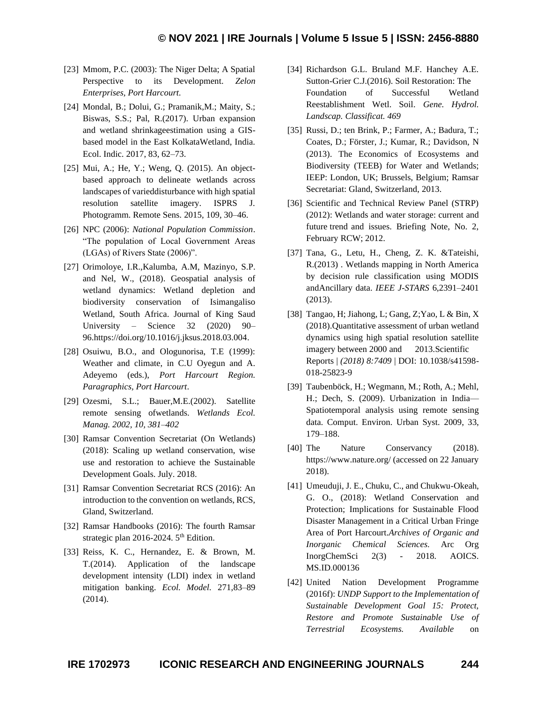- [23] Mmom, P.C. (2003): The Niger Delta; A Spatial Perspective to its Development. *Zelon Enterprises, Port Harcourt.*
- [24] Mondal, B.; Dolui, G.; Pramanik,M.; Maity, S.; Biswas, S.S.; Pal, R.(2017). Urban expansion and wetland shrinkageestimation using a GISbased model in the East KolkataWetland, India. Ecol. Indic. 2017, 83, 62–73.
- [25] Mui, A.; He, Y.; Weng, O. (2015). An objectbased approach to delineate wetlands across landscapes of varieddisturbance with high spatial resolution satellite imagery. ISPRS J. Photogramm. Remote Sens. 2015, 109, 30–46.
- [26] NPC (2006): *National Population Commission*. "The population of Local Government Areas (LGAs) of Rivers State (2006)".
- [27] Orimoloye, I.R.,Kalumba, A.M, Mazinyo, S.P. and Nel, W., (2018). Geospatial analysis of wetland dynamics: Wetland depletion and biodiversity conservation of Isimangaliso Wetland, South Africa. Journal of King Saud University – Science 32 (2020) 90– 96.https://doi.org/10.1016/j.jksus.2018.03.004.
- [28] Osuiwu, B.O., and Ologunorisa, T.E (1999): Weather and climate, in C.U Oyegun and A. Adeyemo (eds.), *Port Harcourt Region. Paragraphics, Port Harcourt*.
- [29] Ozesmi, S.L.; Bauer,M.E.(2002). Satellite remote sensing ofwetlands. *Wetlands Ecol. Manag. 2002, 10, 381–402*
- [30] Ramsar Convention Secretariat (On Wetlands) (2018): Scaling up wetland conservation, wise use and restoration to achieve the Sustainable Development Goals. July. 2018.
- [31] Ramsar Convention Secretariat RCS (2016): An introduction to the convention on wetlands, RCS, Gland, Switzerland.
- [32] Ramsar Handbooks (2016): The fourth Ramsar strategic plan 2016-2024.  $5<sup>th</sup>$  Edition.
- [33] Reiss, K. C., Hernandez, E. & Brown, M. T.(2014). Application of the landscape development intensity (LDI) index in wetland mitigation banking. *Ecol. Model.* 271,83–89 (2014).
- [34] Richardson G.L. Bruland M.F. Hanchey A.E. Sutton-Grier C.J.(2016). Soil Restoration: The Foundation of Successful Wetland Reestablishment Wetl. Soil. *Gene. Hydrol. Landscap. Classificat. 469*
- [35] Russi, D.; ten Brink, P.; Farmer, A.; Badura, T.; Coates, D.; Förster, J.; Kumar, R.; Davidson, N (2013). The Economics of Ecosystems and Biodiversity (TEEB) for Water and Wetlands; IEEP: London, UK; Brussels, Belgium; Ramsar Secretariat: Gland, Switzerland, 2013.
- [36] Scientific and Technical Review Panel (STRP) (2012): Wetlands and water storage: current and future trend and issues. Briefing Note, No. 2, February RCW; 2012.
- [37] Tana, G., Letu, H., Cheng, Z. K. &Tateishi, R.(2013) . Wetlands mapping in North America by decision rule classification using MODIS andAncillary data. *IEEE J-STARS* 6,2391–2401 (2013).
- [38] Tangao, H; Jiahong, L; Gang, Z;Yao, L & Bin, X (2018).Quantitative assessment of urban wetland dynamics using high spatial resolution satellite imagery between 2000 and 2013.Scientific Reports | *(2018) 8:7409* | DOI: 10.1038/s41598- 018-25823-9
- [39] Taubenböck, H.; Wegmann, M.; Roth, A.; Mehl, H.; Dech, S. (2009). Urbanization in India— Spatiotemporal analysis using remote sensing data. Comput. Environ. Urban Syst. 2009, 33, 179–188.
- [40] The Nature Conservancy (2018). https://www.nature.org/ (accessed on 22 January 2018).
- [41] Umeuduji, J. E., Chuku, C., and Chukwu-Okeah, G. O., (2018): Wetland Conservation and Protection; Implications for Sustainable Flood Disaster Management in a Critical Urban Fringe Area of Port Harcourt.*Archives of Organic and Inorganic Chemical Sciences.* Arc Org InorgChemSci 2(3) - 2018. AOICS. MS.ID.000136
- [42] United Nation Development Programme (2016f): *UNDP Support to the Implementation of Sustainable Development Goal 15: Protect, Restore and Promote Sustainable Use of Terrestrial Ecosystems. Available* on